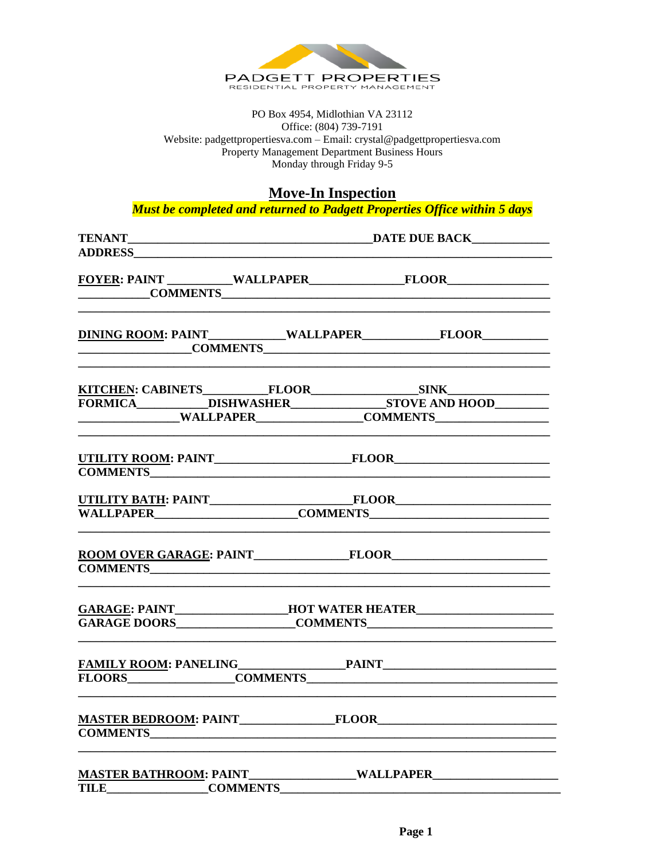

PO Box 4954, Midlothian VA 23112 Office: (804) 739-7191 Website: padgettpropertiesva.com - Email: crystal@padgettpropertiesva.com Property Management Department Business Hours Monday through Friday 9-5

**Move-In Inspection** 

Must be completed and returned to Padgett Properties Office within 5 days

| FOYER: PAINT WALLPAPER FLOOR                                                      |                                                                                   |  |  |
|-----------------------------------------------------------------------------------|-----------------------------------------------------------------------------------|--|--|
| COMMENTS COMMENTS                                                                 |                                                                                   |  |  |
| COMMENTS COMMENTS                                                                 |                                                                                   |  |  |
|                                                                                   |                                                                                   |  |  |
|                                                                                   |                                                                                   |  |  |
|                                                                                   |                                                                                   |  |  |
|                                                                                   |                                                                                   |  |  |
|                                                                                   |                                                                                   |  |  |
|                                                                                   |                                                                                   |  |  |
|                                                                                   |                                                                                   |  |  |
|                                                                                   |                                                                                   |  |  |
|                                                                                   |                                                                                   |  |  |
|                                                                                   |                                                                                   |  |  |
|                                                                                   | GARAGE: PAINT__________________HOT WATER HEATER__________________________________ |  |  |
|                                                                                   |                                                                                   |  |  |
|                                                                                   |                                                                                   |  |  |
|                                                                                   |                                                                                   |  |  |
|                                                                                   |                                                                                   |  |  |
|                                                                                   |                                                                                   |  |  |
| MASTER BATHROOM: PAINT__________________WALLPAPER________________________________ |                                                                                   |  |  |
| TILE COMMENTS                                                                     |                                                                                   |  |  |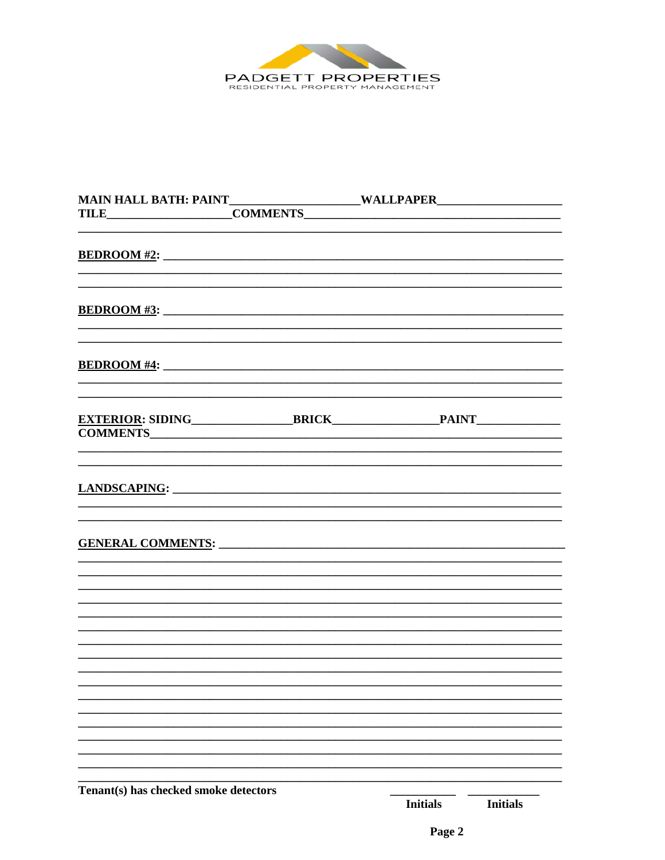

| <b>COMMENTS</b>                       |                                    |
|---------------------------------------|------------------------------------|
|                                       |                                    |
|                                       |                                    |
|                                       |                                    |
|                                       |                                    |
|                                       |                                    |
|                                       |                                    |
| Tenant(s) has checked smoke detectors | <b>Initials</b><br><b>Initials</b> |